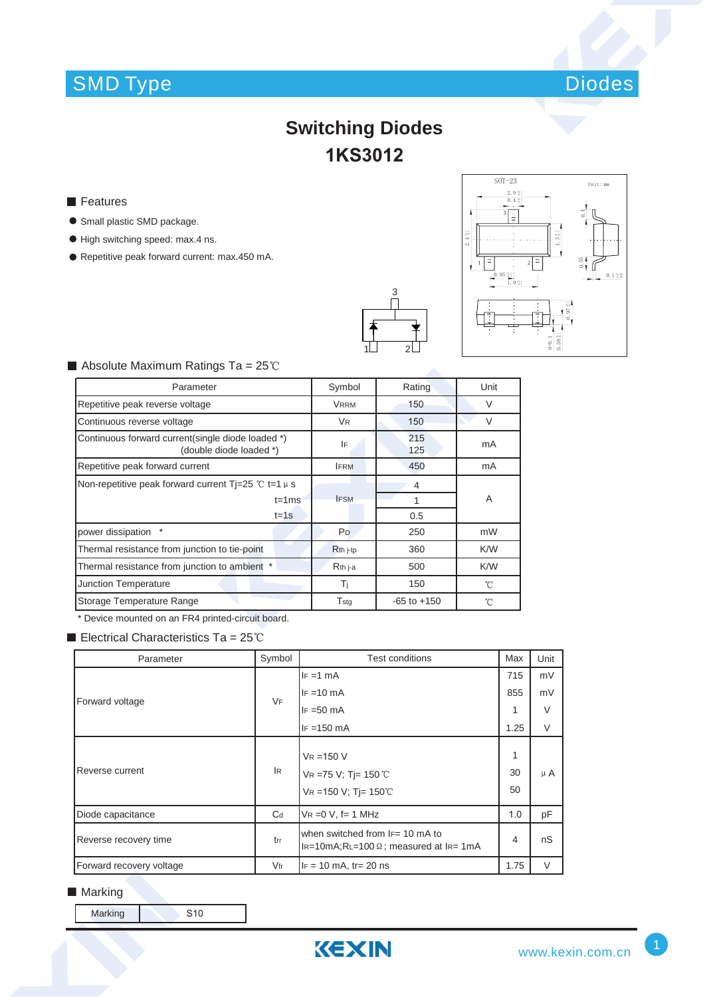# SMD Type Diodes



## **Switching Diodes 1KS3012**

- **Features**
- **Small plastic SMD package.**
- $\bullet$  High switching speed: max.4 ns.
- Repetitive peak forward current: max.450 mA.





#### $\blacksquare$  Absolute Maximum Ratings Ta = 25°C

| Parameter                                                                    | Symbol               | Rating          | Unit         |
|------------------------------------------------------------------------------|----------------------|-----------------|--------------|
| Repetitive peak reverse voltage                                              | <b>VRRM</b>          | 150             | $\vee$       |
| Continuous reverse voltage                                                   | <b>VR</b>            | 150             | $\vee$       |
| Continuous forward current(single diode loaded *)<br>(double diode loaded *) | IF                   | 215<br>125      | mA           |
| Repetitive peak forward current                                              | <b>IFRM</b>          | 450             | mA           |
| Non-repetitive peak forward current Ti=25 °C t=1 $\mu$ s                     |                      | 4               |              |
| $t = 1ms$                                                                    | <b>IFSM</b>          |                 | A            |
| $t = 1s$                                                                     |                      | 0.5             |              |
| power dissipation                                                            | P <sub>D</sub>       | 250             | mW           |
| Thermal resistance from junction to tie-point                                | R <sub>th</sub> j-tp | 360             | K/W          |
| Thermal resistance from junction to ambient *                                | $Rth$ j-a            | 500             | K/W          |
| Junction Temperature                                                         | Ti                   | 150             | $^{\circ}$ C |
| Storage Temperature Range                                                    | Tstg                 | $-65$ to $+150$ | °C           |

\* Device mounted on an FR4 printed-circuit board.

Electrical Characteristics Ta =  $25^{\circ}$ C

| Parameter                | Symbol    | Test conditions                                                                          | Max           | Unit    |
|--------------------------|-----------|------------------------------------------------------------------------------------------|---------------|---------|
| Forward voltage          | <b>VF</b> | $IF = 1 mA$                                                                              | 715           | mV      |
|                          |           | $IF = 10 mA$                                                                             | 855           | mV      |
|                          |           | $IF = 50 mA$                                                                             | 1             | $\vee$  |
|                          |           | $IF = 150 mA$                                                                            | 1.25          | $\vee$  |
| Reverse current          | lR.       | $V_R = 150 V$<br>$VR = 75 V; T = 150 °C$<br>VR = 150 V; Tj = 150°C                       | 1<br>30<br>50 | $\mu$ A |
| Diode capacitance        | $C_d$     | $VR = 0 V$ , f= 1 MHz                                                                    | 1.0           | pF      |
| Reverse recovery time    | trr       | when switched from $F = 10$ mA to<br>$I_{R=10m}$ A;RL=100 $\Omega$ ; measured at IR= 1mA | 4             | nS      |
| Forward recovery voltage | $V$ fr    | $IF = 10 mA$ , tr= 20 ns                                                                 | 1.75          | $\vee$  |

#### ■ Marking

Marking S10